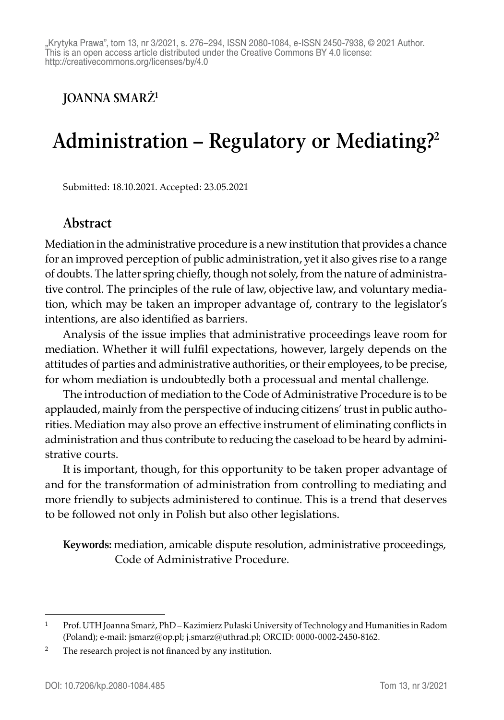"Krytyka Prawa", tom 13, nr 3/2021, s. 276-294, ISSN 2080-1084, e-ISSN 2450-7938. @ 2021 Author. This is an open access article distributed under the Creative Commons BY 4.0 license: http://creativecommons.org/licenses/by/4.0

**JOANNA SMARŻ1**

## **Administration – Regulatory or Mediating?2**

Submitted: 18.10.2021. Accepted: 23.05.2021

#### **Abstract**

Mediation in the administrative procedure is a new institution that provides a chance for an improved perception of public administration, yet it also gives rise to a range of doubts. The latter spring chiefly, though not solely, from the nature of administrative control. The principles of the rule of law, objective law, and voluntary mediation, which may be taken an improper advantage of, contrary to the legislator's intentions, are also identified as barriers.

Analysis of the issue implies that administrative proceedings leave room for mediation. Whether it will fulfil expectations, however, largely depends on the attitudes of parties and administrative authorities, or their employees, to be precise, for whom mediation is undoubtedly both a processual and mental challenge.

The introduction of mediation to the Code of Administrative Procedure is to be applauded, mainly from the perspective of inducing citizens' trust in public authorities. Mediation may also prove an effective instrument of eliminating conflicts in administration and thus contribute to reducing the caseload to be heard by administrative courts.

It is important, though, for this opportunity to be taken proper advantage of and for the transformation of administration from controlling to mediating and more friendly to subjects administered to continue. This is a trend that deserves to be followed not only in Polish but also other legislations.

**Keywords:** mediation, amicable dispute resolution, administrative proceedings, Code of Administrative Procedure.

<sup>1</sup> Prof. UTH Joanna Smarż, PhD – Kazimierz Pułaski University of Technology and Humanities in Radom (Poland); e-mail: jsmarz@op.pl; j.smarz@uthrad.pl; ORCID: 0000-0002-2450-8162.

<sup>&</sup>lt;sup>2</sup> The research project is not financed by any institution.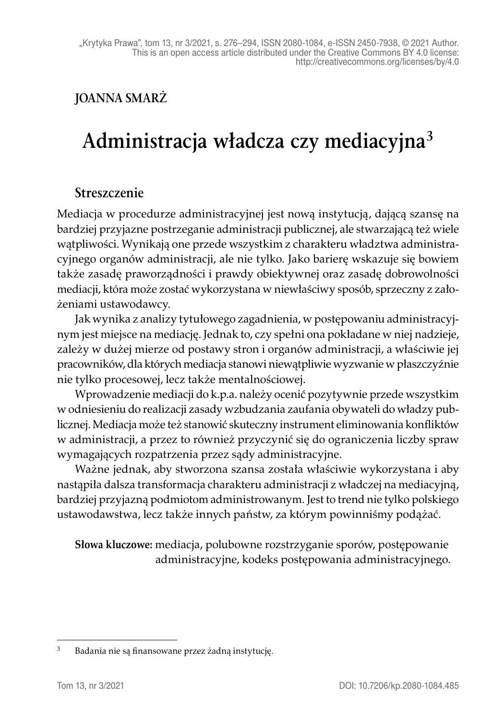#### **JOANNA SMARŻ**

# **Administracja władcza czy mediacyjna<sup>3</sup>**

#### **Streszczenie**

Mediacja w procedurze administracyjnej jest nową instytucją, dającą szansę na bardziej przyjazne postrzeganie administracji publicznej, ale stwarzającą też wiele wątpliwości. Wynikają one przede wszystkim z charakteru władztwa administracyjnego organów administracji, ale nie tylko. Jako barierę wskazuje się bowiem także zasadę praworządności i prawdy obiektywnej oraz zasadę dobrowolności mediacji, która może zostać wykorzystana w niewłaściwy sposób, sprzeczny z założeniami ustawodawcy.

Jak wynika z analizy tytułowego zagadnienia, w postępowaniu administracyjnym jest miejsce na mediację. Jednak to, czy spełni ona pokładane w niej nadzieje, zależy w dużej mierze od postawy stron i organów administracji, a właściwie jej pracowników, dla których mediacja stanowi niewątpliwie wyzwanie w płaszczyźnie nie tylko procesowej, lecz także mentalnościowej.

Wprowadzenie mediacji do k.p.a. należy ocenić pozytywnie przede wszystkim w odniesieniu do realizacji zasady wzbudzania zaufania obywateli do władzy publicznej. Mediacja może też stanowić skuteczny instrument eliminowania konfliktów w administracji, a przez to również przyczynić się do ograniczenia liczby spraw wymagających rozpatrzenia przez sądy administracyjne.

Ważne jednak, aby stworzona szansa została właściwie wykorzystana i aby nastąpiła dalsza transformacja charakteru administracji z władczej na mediacyjną, bardziej przyjazną podmiotom administrowanym. Jest to trend nie tylko polskiego ustawodawstwa, lecz także innych państw, za którym powinniśmy podążać.

**Słowa kluczowe:** mediacja, polubowne rozstrzyganie sporów, postępowanie administracyjne, kodeks postępowania administracyjnego.

<sup>3</sup> Badania nie są finansowane przez żadną instytucję.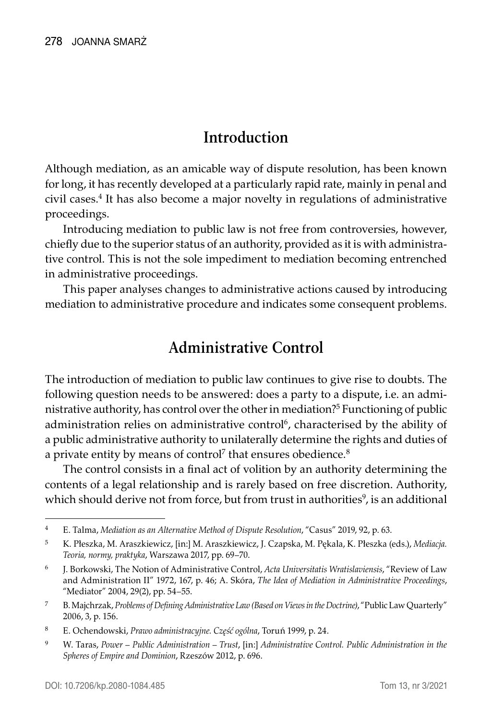#### **Introduction**

Although mediation, as an amicable way of dispute resolution, has been known for long, it has recently developed at a particularly rapid rate, mainly in penal and civil cases.<sup>4</sup> It has also become a major novelty in regulations of administrative proceedings.

Introducing mediation to public law is not free from controversies, however, chiefly due to the superior status of an authority, provided as it is with administrative control. This is not the sole impediment to mediation becoming entrenched in administrative proceedings.

This paper analyses changes to administrative actions caused by introducing mediation to administrative procedure and indicates some consequent problems.

## **Administrative Control**

The introduction of mediation to public law continues to give rise to doubts. The following question needs to be answered: does a party to a dispute, i.e. an administrative authority, has control over the other in mediation?5 Functioning of public administration relies on administrative control<sup>6</sup>, characterised by the ability of a public administrative authority to unilaterally determine the rights and duties of a private entity by means of control<sup>7</sup> that ensures obedience. $^8$ 

The control consists in a final act of volition by an authority determining the contents of a legal relationship and is rarely based on free discretion. Authority, which should derive not from force, but from trust in authorities<sup>9</sup>, is an additional

<sup>4</sup> E. Talma, *Mediation as an Alternative Method of Dispute Resolution*, "Casus" 2019, 92, p. 63.

<sup>5</sup> K. Płeszka, M. Araszkiewicz, [in:] M. Araszkiewicz, J. Czapska, M. Pękala, K. Płeszka (eds.), *Mediacja. Teoria, normy, praktyka*, Warszawa 2017, pp. 69–70.

<sup>6</sup> J. Borkowski, The Notion of Administrative Control, *Acta Universitatis Wratislaviensis*, "Review of Law and Administration II" 1972, 167, p. 46; A. Skóra, *The Idea of Mediation in Administrative Proceedings*, "Mediator" 2004, 29(2), pp. 54–55.

<sup>7</sup> B. Majchrzak, *Problems of Defining Administrative Law (Based on Views in the Doctrine)*, "Public Law Quarterly" 2006, 3, p. 156.

<sup>8</sup> E. Ochendowski, *Prawo administracyjne. Część ogólna*, Toruń 1999, p. 24.

<sup>9</sup> W. Taras, *Power – Public Administration – Trust*, [in:] *Administrative Control. Public Administration in the Spheres of Empire and Dominion*, Rzeszów 2012, p. 696.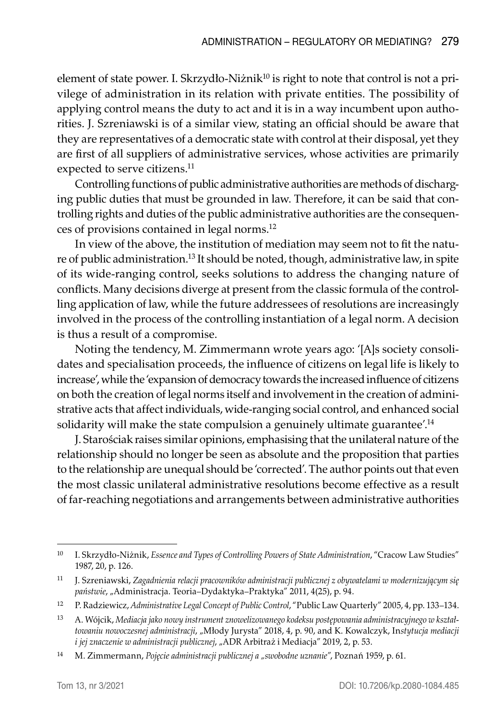element of state power. I. Skrzydło-Niżnik<sup>10</sup> is right to note that control is not a privilege of administration in its relation with private entities. The possibility of applying control means the duty to act and it is in a way incumbent upon authorities. J. Szreniawski is of a similar view, stating an official should be aware that they are representatives of a democratic state with control at their disposal, yet they are first of all suppliers of administrative services, whose activities are primarily expected to serve citizens.<sup>11</sup>

Controlling functions of public administrative authorities are methods of discharging public duties that must be grounded in law. Therefore, it can be said that controlling rights and duties of the public administrative authorities are the consequences of provisions contained in legal norms.12

In view of the above, the institution of mediation may seem not to fit the nature of public administration.13 It should be noted, though, administrative law, in spite of its wide-ranging control, seeks solutions to address the changing nature of conflicts. Many decisions diverge at present from the classic formula of the controlling application of law, while the future addressees of resolutions are increasingly involved in the process of the controlling instantiation of a legal norm. A decision is thus a result of a compromise.

Noting the tendency, M. Zimmermann wrote years ago: '[A]s society consolidates and specialisation proceeds, the influence of citizens on legal life is likely to increase', while the 'expansion of democracy towards the increased influence of citizens on both the creation of legal norms itself and involvement in the creation of administrative acts that affect individuals, wide-ranging social control, and enhanced social solidarity will make the state compulsion a genuinely ultimate guarantee'.<sup>14</sup>

J. Starościak raises similar opinions, emphasising that the unilateral nature of the relationship should no longer be seen as absolute and the proposition that parties to the relationship are unequal should be 'corrected'. The author points out that even the most classic unilateral administrative resolutions become effective as a result of far-reaching negotiations and arrangements between administrative authorities

<sup>10</sup> I. Skrzydło-Niżnik, *Essence and Types of Controlling Powers of State Administration*, "Cracow Law Studies" 1987, 20, p. 126.

<sup>11</sup> J. Szreniawski, *Zagadnienia relacji pracowników administracji publicznej z obywatelami w modernizującym się państwie*, "Administracja. Teoria–Dydaktyka–Praktyka" 2011, 4(25), p. 94.

<sup>12</sup> P. Radziewicz, *Administrative Legal Concept of Public Control*, "Public Law Quarterly" 2005, 4, pp. 133–134.

<sup>13</sup> A. Wójcik, *Mediacja jako nowy instrument znowelizowanego kodeksu postępowania administracyjnego w kształtowaniu nowoczesnej administracji*, "Młody Jurysta" 2018, 4, p. 90, and K. Kowalczyk, In*stytucja mediacji i jej znaczenie w administracji publicznej*, "ADR Arbitraż i Mediacja" 2019, 2, p. 53.

<sup>&</sup>lt;sup>14</sup> M. Zimmermann, Pojęcie administracji publicznej a "swobodne uznanie", Poznań 1959, p. 61.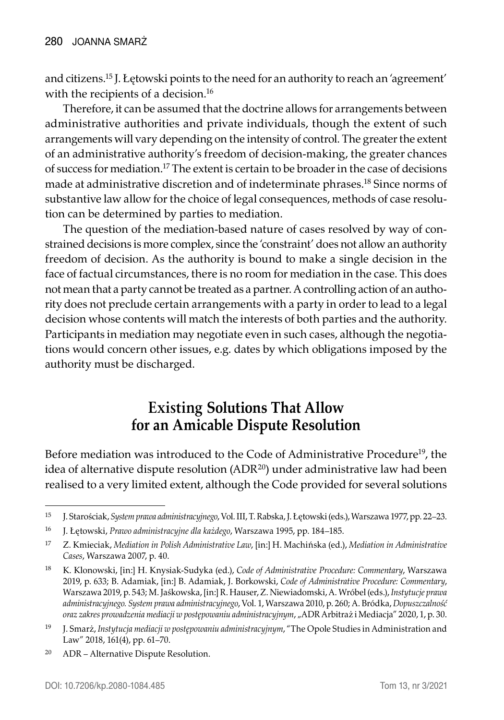and citizens.15 J. Łętowski points to the need for an authority to reach an 'agreement' with the recipients of a decision.<sup>16</sup>

Therefore, it can be assumed that the doctrine allows for arrangements between administrative authorities and private individuals, though the extent of such arrangements will vary depending on the intensity of control. The greater the extent of an administrative authority's freedom of decision-making, the greater chances of success for mediation.17 The extent is certain to be broader in the case of decisions made at administrative discretion and of indeterminate phrases.18 Since norms of substantive law allow for the choice of legal consequences, methods of case resolution can be determined by parties to mediation.

The question of the mediation-based nature of cases resolved by way of constrained decisions is more complex, since the 'constraint' does not allow an authority freedom of decision. As the authority is bound to make a single decision in the face of factual circumstances, there is no room for mediation in the case. This does not mean that a party cannot be treated as a partner. A controlling action of an authority does not preclude certain arrangements with a party in order to lead to a legal decision whose contents will match the interests of both parties and the authority. Participants in mediation may negotiate even in such cases, although the negotiations would concern other issues, e.g. dates by which obligations imposed by the authority must be discharged.

## **Existing Solutions That Allow for an Amicable Dispute Resolution**

Before mediation was introduced to the Code of Administrative Procedure<sup>19</sup>, the idea of alternative dispute resolution (ADR<sup>20</sup>) under administrative law had been realised to a very limited extent, although the Code provided for several solutions

<sup>15</sup> J. Starościak, *System prawa administracyjnego*, Vol. III, T. Rabska, J. Łętowski (eds.), Warszawa 1977, pp. 22–23.

<sup>16</sup> J. Łętowski, *Prawo administracyjne dla każdego*, Warszawa 1995, pp. 184–185.

<sup>17</sup> Z. Kmieciak, *Mediation in Polish Administrative Law*, [in:] H. Machińska (ed.), *Mediation in Administrative Cases*, Warszawa 2007, p. 40.

<sup>18</sup> K. Klonowski, [in:] H. Knysiak-Sudyka (ed.), *Code of Administrative Procedure: Commentary*, Warszawa 2019, p. 633; B. Adamiak, [in:] B. Adamiak, J. Borkowski, *Code of Administrative Procedure: Commentary*, Warszawa 2019, p. 543; M. Jaśkowska, [in:] R. Hauser, Z. Niewiadomski, A. Wróbel (eds.), *Instytucje prawa administracyjnego. System prawa administracyjnego*, Vol. 1, Warszawa 2010, p. 260; A. Bródka, *Dopuszczalność oraz zakres prowadzenia mediacji w postępowaniu administracyjnym*, "ADR Arbitraż i Mediacja" 2020, 1, p. 30.

<sup>19</sup> J. Smarż, *Instytucja mediacji w postępowaniu administracyjnym*, "The Opole Studies in Administration and Law" 2018, 161(4), pp. 61–70.

<sup>20</sup> ADR – Alternative Dispute Resolution.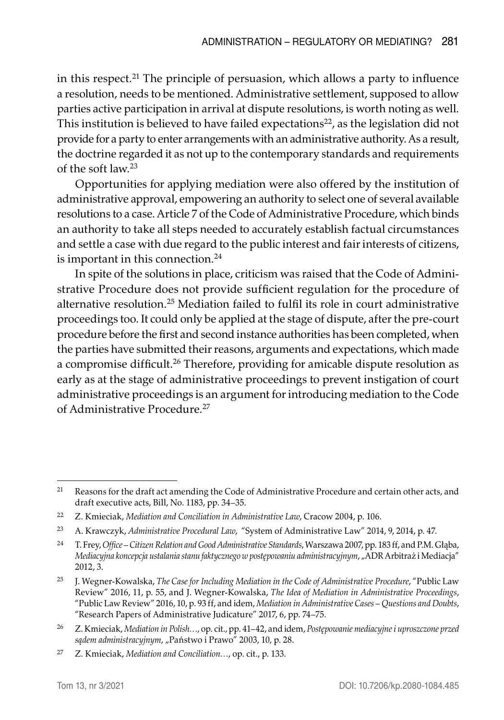in this respect.<sup>21</sup> The principle of persuasion, which allows a party to influence a resolution, needs to be mentioned. Administrative settlement, supposed to allow parties active participation in arrival at dispute resolutions, is worth noting as well. This institution is believed to have failed expectations $22$ , as the legislation did not provide for a party to enter arrangements with an administrative authority. As a result, the doctrine regarded it as not up to the contemporary standards and requirements of the soft law.<sup>23</sup>

Opportunities for applying mediation were also offered by the institution of administrative approval, empowering an authority to select one of several available resolutions to a case. Article 7 of the Code of Administrative Procedure, which binds an authority to take all steps needed to accurately establish factual circumstances and settle a case with due regard to the public interest and fair interests of citizens, is important in this connection.<sup>24</sup>

In spite of the solutions in place, criticism was raised that the Code of Administrative Procedure does not provide sufficient regulation for the procedure of alternative resolution.25 Mediation failed to fulfil its role in court administrative proceedings too. It could only be applied at the stage of dispute, after the pre-court procedure before the first and second instance authorities has been completed, when the parties have submitted their reasons, arguments and expectations, which made a compromise difficult.<sup>26</sup> Therefore, providing for amicable dispute resolution as early as at the stage of administrative proceedings to prevent instigation of court administrative proceedings is an argument for introducing mediation to the Code of Administrative Procedure.27

<sup>&</sup>lt;sup>21</sup> Reasons for the draft act amending the Code of Administrative Procedure and certain other acts, and draft executive acts, Bill, No. 1183, pp. 34–35.

<sup>22</sup> Z. Kmieciak, *Mediation and Conciliation in Administrative Law*, Cracow 2004, p. 106.

<sup>23</sup> A. Krawczyk, *Administrative Procedural Law*, "System of Administrative Law" 2014, 9, 2014, p. 47.

<sup>24</sup> T. Frey, *Office – Citizen Relation and Good Administrative Standards*, Warszawa 2007, pp. 183 ff, and P.M. Głąba, *Mediacyjna koncepcja ustalania stanu faktycznego w postępowaniu administracyjnym*, "ADR Arbitraż i Mediacja" 2012, 3.

<sup>25</sup> J. Wegner-Kowalska, *The Case for Including Mediation in the Code of Administrative Procedure*, "Public Law Review" 2016, 11, p. 55, and J. Wegner-Kowalska, *The Idea of Mediation in Administrative Proceedings*, "Public Law Review" 2016, 10, p. 93 ff, and idem, *Mediation in Administrative Cases – Questions and Doubts*, "Research Papers of Administrative Judicature" 2017, 6, pp. 74–75.

<sup>26</sup> Z. Kmieciak, *Mediation in Polish…*, op. cit., pp. 41–42, and idem, *Postępowanie mediacyjne i uproszczone przed*  sądem administracyjnym, "Państwo i Prawo" 2003, 10, p. 28.

<sup>27</sup> Z. Kmieciak, *Mediation and Conciliation…*, op. cit., p. 133.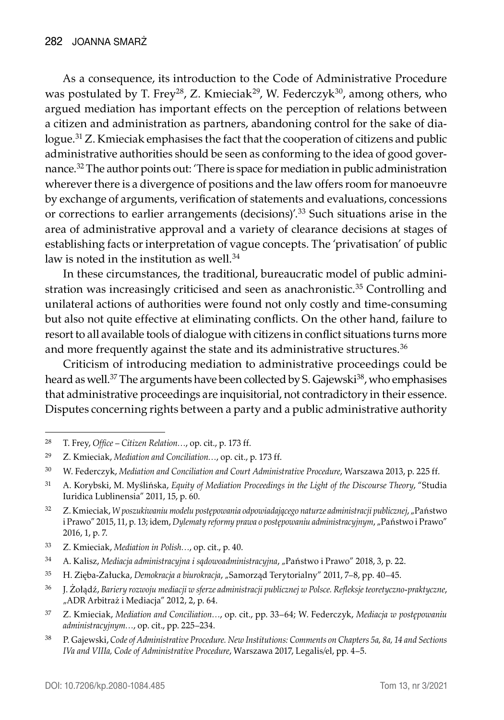As a consequence, its introduction to the Code of Administrative Procedure was postulated by T. Frey<sup>28</sup>, Z. Kmieciak<sup>29</sup>, W. Federczyk<sup>30</sup>, among others, who argued mediation has important effects on the perception of relations between a citizen and administration as partners, abandoning control for the sake of dialogue.31 Z. Kmieciak emphasises the fact that the cooperation of citizens and public administrative authorities should be seen as conforming to the idea of good governance.32 The author points out: 'There is space for mediation in public administration wherever there is a divergence of positions and the law offers room for manoeuvre by exchange of arguments, verification of statements and evaluations, concessions or corrections to earlier arrangements (decisions)'.33 Such situations arise in the area of administrative approval and a variety of clearance decisions at stages of establishing facts or interpretation of vague concepts. The 'privatisation' of public law is noted in the institution as well. $34$ 

In these circumstances, the traditional, bureaucratic model of public administration was increasingly criticised and seen as anachronistic.<sup>35</sup> Controlling and unilateral actions of authorities were found not only costly and time-consuming but also not quite effective at eliminating conflicts. On the other hand, failure to resort to all available tools of dialogue with citizens in conflict situations turns more and more frequently against the state and its administrative structures.<sup>36</sup>

Criticism of introducing mediation to administrative proceedings could be heard as well.<sup>37</sup> The arguments have been collected by S. Gajewski<sup>38</sup>, who emphasises that administrative proceedings are inquisitorial, not contradictory in their essence. Disputes concerning rights between a party and a public administrative authority

<sup>28</sup> T. Frey, *Office – Citizen Relation…*, op. cit., p. 173 ff.

<sup>29</sup> Z. Kmieciak, *Mediation and Conciliation…*, op. cit., p. 173 ff.

<sup>30</sup> W. Federczyk, *Mediation and Conciliation and Court Administrative Procedure*, Warszawa 2013, p. 225 ff.

<sup>31</sup> A. Korybski, M. Myślińska, *Equity of Mediation Proceedings in the Light of the Discourse Theory*, "Studia Iuridica Lublinensia" 2011, 15, p. 60.

<sup>32</sup> Z. Kmieciak, *W poszukiwaniu modelu postępowania odpowiadającego naturze administracji publicznej*, "Państwo i Prawo" 2015, 11, p. 13; idem, *Dylematy reformy prawa o postępowaniu administracyjnym*, "Państwo i Prawo" 2016, 1, p. 7.

<sup>33</sup> Z. Kmieciak, *Mediation in Polish…*, op. cit., p. 40.

<sup>&</sup>lt;sup>34</sup> A. Kalisz, Mediacja administracyjna i sądowoadministracyjna, "Państwo i Prawo" 2018, 3, p. 22.

<sup>35</sup> H. Zięba-Załucka, *Demokracja a biurokracja*, "Samorząd Terytorialny" 2011, 7–8, pp. 40–45.

<sup>36</sup> J. Żołądź, *Bariery rozwoju mediacji w sferze administracji publicznej w Polsce. Refleksje teoretyczno-praktyczne*, "ADR Arbitraż i Mediacja" 2012, 2, p. 64.

<sup>37</sup> Z. Kmieciak, *Mediation and Conciliation…*, op. cit., pp. 33–64; W. Federczyk, *Mediacja w postępowaniu administracyjnym…*, op. cit., pp. 225–234.

<sup>38</sup> P. Gajewski, *Code of Administrative Procedure. New Institutions: Comments on Chapters 5a, 8a, 14 and Sections IVa and VIIIa, Code of Administrative Procedure*, Warszawa 2017, Legalis/el, pp. 4–5.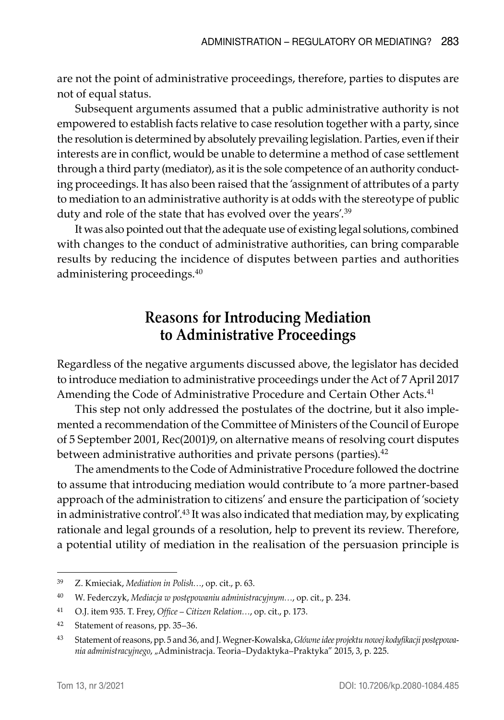are not the point of administrative proceedings, therefore, parties to disputes are not of equal status.

Subsequent arguments assumed that a public administrative authority is not empowered to establish facts relative to case resolution together with a party, since the resolution is determined by absolutely prevailing legislation. Parties, even if their interests are in conflict, would be unable to determine a method of case settlement through a third party (mediator), as it is the sole competence of an authority conducting proceedings. It has also been raised that the 'assignment of attributes of a party to mediation to an administrative authority is at odds with the stereotype of public duty and role of the state that has evolved over the years'.<sup>39</sup>

It was also pointed out that the adequate use of existing legal solutions, combined with changes to the conduct of administrative authorities, can bring comparable results by reducing the incidence of disputes between parties and authorities administering proceedings.<sup>40</sup>

#### **Reasons for Introducing Mediation to Administrative Proceedings**

Regardless of the negative arguments discussed above, the legislator has decided to introduce mediation to administrative proceedings under the Act of 7 April 2017 Amending the Code of Administrative Procedure and Certain Other Acts.<sup>41</sup>

This step not only addressed the postulates of the doctrine, but it also implemented a recommendation of the Committee of Ministers of the Council of Europe of 5 September 2001, Rec(2001)9, on alternative means of resolving court disputes between administrative authorities and private persons (parties).<sup>42</sup>

The amendments to the Code of Administrative Procedure followed the doctrine to assume that introducing mediation would contribute to 'a more partner-based approach of the administration to citizens' and ensure the participation of 'society in administrative control'.43 It was also indicated that mediation may, by explicating rationale and legal grounds of a resolution, help to prevent its review. Therefore, a potential utility of mediation in the realisation of the persuasion principle is

<sup>39</sup> Z. Kmieciak, *Mediation in Polish…*, op. cit., p. 63.

<sup>40</sup> W. Federczyk, *Mediacja w postępowaniu administracyjnym…*, op. cit., p. 234.

<sup>41</sup> O.J. item 935. T. Frey, *Office – Citizen Relation…*, op. cit., p. 173.

<sup>42</sup> Statement of reasons, pp. 35–36.

<sup>43</sup> Statement of reasons, pp. 5 and 36, and J. Wegner-Kowalska, *Główne idee projektu nowej kodyfikacji postępowania administracyjnego*, "Administracja. Teoria–Dydaktyka–Praktyka" 2015, 3, p. 225.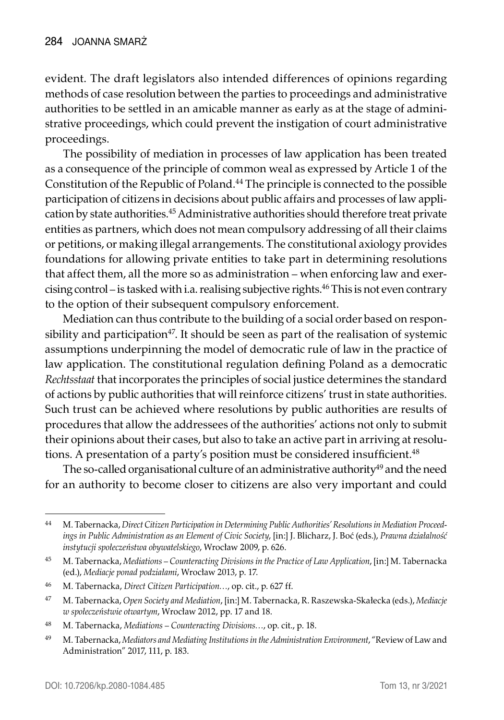evident. The draft legislators also intended differences of opinions regarding methods of case resolution between the parties to proceedings and administrative authorities to be settled in an amicable manner as early as at the stage of administrative proceedings, which could prevent the instigation of court administrative proceedings.

The possibility of mediation in processes of law application has been treated as a consequence of the principle of common weal as expressed by Article 1 of the Constitution of the Republic of Poland.44 The principle is connected to the possible participation of citizens in decisions about public affairs and processes of law application by state authorities.<sup>45</sup> Administrative authorities should therefore treat private entities as partners, which does not mean compulsory addressing of all their claims or petitions, or making illegal arrangements. The constitutional axiology provides foundations for allowing private entities to take part in determining resolutions that affect them, all the more so as administration – when enforcing law and exercising control – is tasked with i.a. realising subjective rights.46 This is not even contrary to the option of their subsequent compulsory enforcement.

Mediation can thus contribute to the building of a social order based on responsibility and participation<sup>47</sup>. It should be seen as part of the realisation of systemic assumptions underpinning the model of democratic rule of law in the practice of law application. The constitutional regulation defining Poland as a democratic *Rechtsstaat* that incorporates the principles of social justice determines the standard of actions by public authorities that will reinforce citizens' trust in state authorities. Such trust can be achieved where resolutions by public authorities are results of procedures that allow the addressees of the authorities' actions not only to submit their opinions about their cases, but also to take an active part in arriving at resolutions. A presentation of a party's position must be considered insufficient.<sup>48</sup>

The so-called organisational culture of an administrative authority<sup>49</sup> and the need for an authority to become closer to citizens are also very important and could

<sup>44</sup> M. Tabernacka, *Direct Citizen Participation in Determining Public Authorities' Resolutions in Mediation Proceedings in Public Administration as an Element of Civic Society*, [in:] J. Blicharz, J. Boć (eds.), *Prawna działalność instytucji społeczeństwa obywatelskiego*, Wrocław 2009, p. 626.

<sup>45</sup> M. Tabernacka, *Mediations – Counteracting Divisions in the Practice of Law Application*, [in:] M. Tabernacka (ed.), *Mediacje ponad podziałami*, Wrocław 2013, p. 17.

<sup>46</sup> M. Tabernacka, *Direct Citizen Participation…*, op. cit., p. 627 ff.

<sup>47</sup> M. Tabernacka, *Open Society and Mediation*, [in:] M. Tabernacka, R. Raszewska-Skałecka (eds.), *Mediacje w społeczeństwie otwartym*, Wrocław 2012, pp. 17 and 18.

<sup>48</sup> M. Tabernacka, *Mediations – Counteracting Divisions…*, op. cit., p. 18.

<sup>49</sup> M. Tabernacka, *Mediators and Mediating Institutions in the Administration Environment*, "Review of Law and Administration" 2017, 111, p. 183.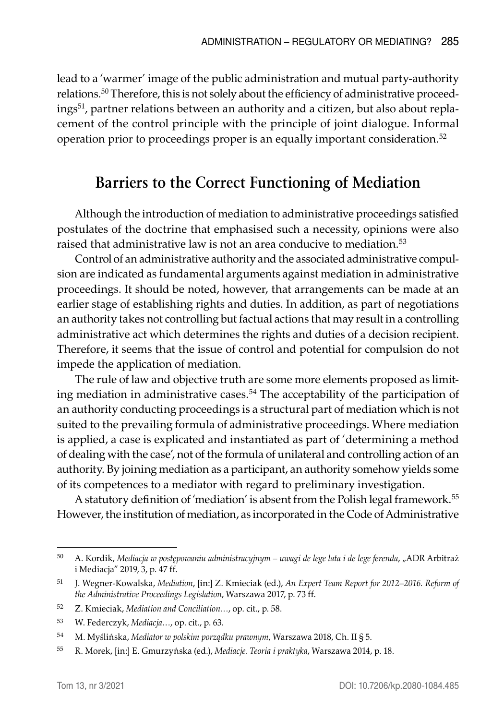lead to a 'warmer' image of the public administration and mutual party-authority relations.<sup>50</sup> Therefore, this is not solely about the efficiency of administrative proceedings<sup>51</sup>, partner relations between an authority and a citizen, but also about replacement of the control principle with the principle of joint dialogue. Informal operation prior to proceedings proper is an equally important consideration.52

#### **Barriers to the Correct Functioning of Mediation**

Although the introduction of mediation to administrative proceedings satisfied postulates of the doctrine that emphasised such a necessity, opinions were also raised that administrative law is not an area conducive to mediation.<sup>53</sup>

Control of an administrative authority and the associated administrative compulsion are indicated as fundamental arguments against mediation in administrative proceedings. It should be noted, however, that arrangements can be made at an earlier stage of establishing rights and duties. In addition, as part of negotiations an authority takes not controlling but factual actions that may result in a controlling administrative act which determines the rights and duties of a decision recipient. Therefore, it seems that the issue of control and potential for compulsion do not impede the application of mediation.

The rule of law and objective truth are some more elements proposed as limiting mediation in administrative cases.<sup>54</sup> The acceptability of the participation of an authority conducting proceedings is a structural part of mediation which is not suited to the prevailing formula of administrative proceedings. Where mediation is applied, a case is explicated and instantiated as part of 'determining a method of dealing with the case', not of the formula of unilateral and controlling action of an authority. By joining mediation as a participant, an authority somehow yields some of its competences to a mediator with regard to preliminary investigation.

A statutory definition of 'mediation' is absent from the Polish legal framework.<sup>55</sup> However, the institution of mediation, as incorporated in the Code of Administrative

<sup>50</sup> A. Kordik, *Mediacja w postępowaniu administracyjnym – uwagi de lege lata i de lege ferenda*, "ADR Arbitraż i Mediacja" 2019, 3, p. 47 ff.

<sup>51</sup> J. Wegner-Kowalska, *Mediation*, [in:] Z. Kmieciak (ed.), *An Expert Team Report for 2012–2016. Reform of the Administrative Proceedings Legislation*, Warszawa 2017, p. 73 ff.

<sup>52</sup> Z. Kmieciak, *Mediation and Conciliation…*, op. cit., p. 58.

<sup>53</sup> W. Federczyk, *Mediacja…*, op. cit., p. 63.

<sup>54</sup> M. Myślińska, *Mediator w polskim porządku prawnym*, Warszawa 2018, Ch. II § 5.

<sup>55</sup> R. Morek, [in:] E. Gmurzyńska (ed.), *Mediacje. Teoria i praktyka*, Warszawa 2014, p. 18.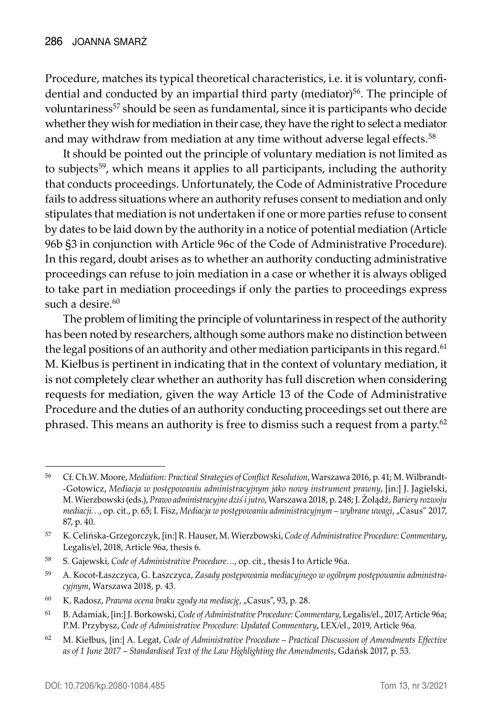Procedure, matches its typical theoretical characteristics, i.e. it is voluntary, confidential and conducted by an impartial third party (mediator)<sup>56</sup>. The principle of voluntariness<sup>57</sup> should be seen as fundamental, since it is participants who decide whether they wish for mediation in their case, they have the right to select a mediator and may withdraw from mediation at any time without adverse legal effects.<sup>58</sup>

It should be pointed out the principle of voluntary mediation is not limited as to subjects<sup>59</sup>, which means it applies to all participants, including the authority that conducts proceedings. Unfortunately, the Code of Administrative Procedure fails to address situations where an authority refuses consent to mediation and only stipulates that mediation is not undertaken if one or more parties refuse to consent by dates to be laid down by the authority in a notice of potential mediation (Article 96b §3 in conjunction with Article 96c of the Code of Administrative Procedure). In this regard, doubt arises as to whether an authority conducting administrative proceedings can refuse to join mediation in a case or whether it is always obliged to take part in mediation proceedings if only the parties to proceedings express such a desire.<sup>60</sup>

The problem of limiting the principle of voluntariness in respect of the authority has been noted by researchers, although some authors make no distinction between the legal positions of an authority and other mediation participants in this regard.<sup>61</sup> M. Kiełbus is pertinent in indicating that in the context of voluntary mediation, it is not completely clear whether an authority has full discretion when considering requests for mediation, given the way Article 13 of the Code of Administrative Procedure and the duties of an authority conducting proceedings set out there are phrased. This means an authority is free to dismiss such a request from a party.62

<sup>56</sup> Cf. Ch.W. Moore, *Mediation: Practical Strategies of Conflict Resolution*, Warszawa 2016, p. 41; M. Wilbrandt -Gotowicz, *Mediacja w postępowaniu administracyjnym jako nowy instrument prawny*, [in:] J. Jagielski, M. Wierzbowski (eds.), *Prawo administracyjne dziś i jutro*, Warszawa 2018, p. 248; J. Żołądź, *Bariery rozwoju mediacji…*, op. cit., p. 65; I. Fisz, *Mediacja w postępowaniu administracyjnym – wybrane uwagi*, "Casus" 2017, 87, p. 40.

<sup>57</sup> K. Celińska-Grzegorczyk, [in:] R. Hauser, M. Wierzbowski, *Code of Administrative Procedure: Commentary*, Legalis/el, 2018, Article 96a, thesis 6.

<sup>58</sup> S. Gajewski, *Code of Administrative Procedure…*, op. cit., thesis I to Article 96a.

<sup>59</sup> A. Kocot-Łaszczyca, G. Łaszczyca, *Zasady postępowania mediacyjnego w ogólnym postępowaniu administracyjnym*, Warszawa 2018, p. 43.

<sup>60</sup> K. Radosz, *Prawna ocena braku zgody na mediację*, "Casus", 93, p. 28.

<sup>61</sup> B. Adamiak, [in:] J. Borkowski, *Code of Administrative Procedure: Commentary*, Legalis/el., 2017, Article 96a; P.M. Przybysz, *Code of Administrative Procedure: Updated Commentary*, LEX/el., 2019, Article 96a.

<sup>62</sup> M. Kiełbus, [in:] A. Legat, *Code of Administrative Procedure – Practical Discussion of Amendments Effective as of 1 June 2017 – Standardised Text of the Law Highlighting the Amendments*, Gdańsk 2017, p. 53.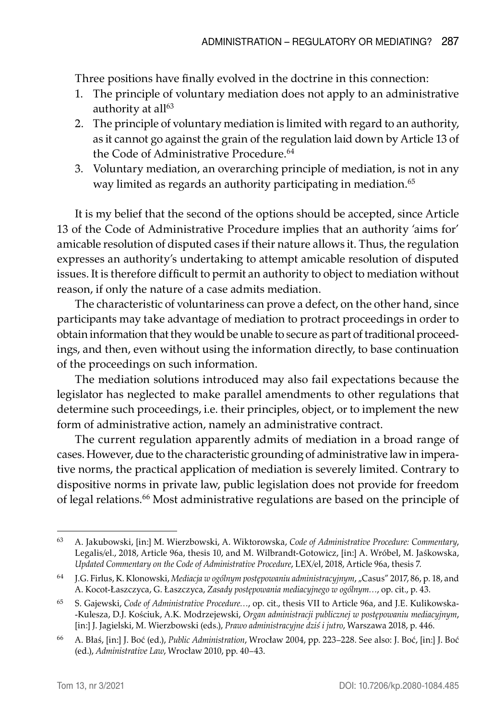Three positions have finally evolved in the doctrine in this connection:

- 1. The principle of voluntary mediation does not apply to an administrative authority at all<sup>63</sup>
- 2. The principle of voluntary mediation is limited with regard to an authority, as it cannot go against the grain of the regulation laid down by Article 13 of the Code of Administrative Procedure.<sup>64</sup>
- 3. Voluntary mediation, an overarching principle of mediation, is not in any way limited as regards an authority participating in mediation.<sup>65</sup>

It is my belief that the second of the options should be accepted, since Article 13 of the Code of Administrative Procedure implies that an authority 'aims for' amicable resolution of disputed cases if their nature allows it. Thus, the regulation expresses an authority's undertaking to attempt amicable resolution of disputed issues. It is therefore difficult to permit an authority to object to mediation without reason, if only the nature of a case admits mediation.

The characteristic of voluntariness can prove a defect, on the other hand, since participants may take advantage of mediation to protract proceedings in order to obtain information that they would be unable to secure as part of traditional proceedings, and then, even without using the information directly, to base continuation of the proceedings on such information.

The mediation solutions introduced may also fail expectations because the legislator has neglected to make parallel amendments to other regulations that determine such proceedings, i.e. their principles, object, or to implement the new form of administrative action, namely an administrative contract.

The current regulation apparently admits of mediation in a broad range of cases. However, due to the characteristic grounding of administrative law in imperative norms, the practical application of mediation is severely limited. Contrary to dispositive norms in private law, public legislation does not provide for freedom of legal relations.<sup>66</sup> Most administrative regulations are based on the principle of

<sup>63</sup> A. Jakubowski, [in:] M. Wierzbowski, A. Wiktorowska, *Code of Administrative Procedure: Commentary*, Legalis/el., 2018, Article 96a, thesis 10, and M. Wilbrandt-Gotowicz, [in:] A. Wróbel, M. Jaśkowska, *Updated Commentary on the Code of Administrative Procedure*, LEX/el, 2018, Article 96a, thesis 7.

<sup>64</sup> J.G. Firlus, K. Klonowski, *Mediacja w ogólnym postępowaniu administracyjnym*, "Casus" 2017, 86, p. 18, and A. Kocot-Łaszczyca, G. Łaszczyca, *Zasady postępowania mediacyjnego w ogólnym…*, op. cit., p. 43.

<sup>65</sup> S. Gajewski, *Code of Administrative Procedure…*, op. cit., thesis VII to Article 96a, and J.E. Kulikowska -Kulesza, D.J. Kościuk, A.K. Modrzejewski, *Organ administracji publicznej w postępowaniu mediacyjnym*, [in:] J. Jagielski, M. Wierzbowski (eds.), *Prawo administracyjne dziś i jutro*, Warszawa 2018, p. 446.

<sup>66</sup> A. Błaś, [in:] J. Boć (ed.), *Public Administration*, Wrocław 2004, pp. 223–228. See also: J. Boć, [in:] J. Boć (ed.), *Administrative Law*, Wrocław 2010, pp. 40–43.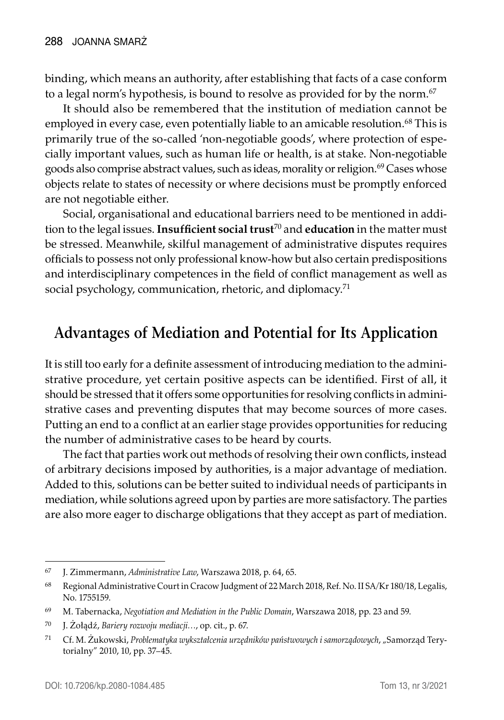binding, which means an authority, after establishing that facts of a case conform to a legal norm's hypothesis, is bound to resolve as provided for by the norm.<sup>67</sup>

It should also be remembered that the institution of mediation cannot be employed in every case, even potentially liable to an amicable resolution.<sup>68</sup> This is primarily true of the so-called 'non-negotiable goods', where protection of especially important values, such as human life or health, is at stake. Non-negotiable goods also comprise abstract values, such as ideas, morality or religion.<sup>69</sup> Cases whose objects relate to states of necessity or where decisions must be promptly enforced are not negotiable either.

Social, organisational and educational barriers need to be mentioned in addition to the legal issues. **Insufficient social trust**70 and **education** in the matter must be stressed. Meanwhile, skilful management of administrative disputes requires officials to possess not only professional know-how but also certain predispositions and interdisciplinary competences in the field of conflict management as well as social psychology, communication, rhetoric, and diplomacy.<sup>71</sup>

## **Advantages of Mediation and Potential for Its Application**

It is still too early for a definite assessment of introducing mediation to the administrative procedure, yet certain positive aspects can be identified. First of all, it should be stressed that it offers some opportunities for resolving conflicts in administrative cases and preventing disputes that may become sources of more cases. Putting an end to a conflict at an earlier stage provides opportunities for reducing the number of administrative cases to be heard by courts.

The fact that parties work out methods of resolving their own conflicts, instead of arbitrary decisions imposed by authorities, is a major advantage of mediation. Added to this, solutions can be better suited to individual needs of participants in mediation, while solutions agreed upon by parties are more satisfactory. The parties are also more eager to discharge obligations that they accept as part of mediation.

<sup>67</sup> J. Zimmermann, *Administrative Law*, Warszawa 2018, p. 64, 65.

<sup>68</sup> Regional Administrative Court in Cracow Judgment of 22 March 2018, Ref. No. II SA/Kr 180/18, Legalis, No. 1755159.

<sup>69</sup> M. Tabernacka, *Negotiation and Mediation in the Public Domain*, Warszawa 2018, pp. 23 and 59.

<sup>70</sup> J. Żołądź, *Bariery rozwoju mediacji…*, op. cit., p. 67.

<sup>71</sup> Cf. M. Żukowski, *Problematyka wykształcenia urzędników państwowych i samorządowych*, "Samorząd Terytorialny" 2010, 10, pp. 37–45.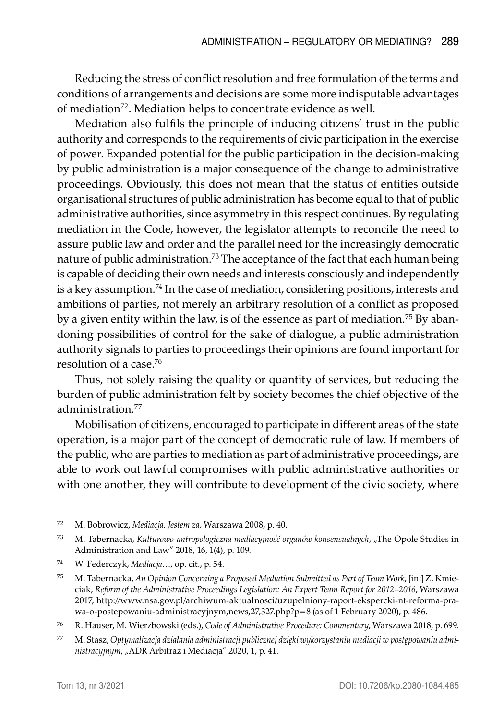Reducing the stress of conflict resolution and free formulation of the terms and conditions of arrangements and decisions are some more indisputable advantages of mediation<sup>72</sup>. Mediation helps to concentrate evidence as well.

Mediation also fulfils the principle of inducing citizens' trust in the public authority and corresponds to the requirements of civic participation in the exercise of power. Expanded potential for the public participation in the decision-making by public administration is a major consequence of the change to administrative proceedings. Obviously, this does not mean that the status of entities outside organisational structures of public administration has become equal to that of public administrative authorities, since asymmetry in this respect continues. By regulating mediation in the Code, however, the legislator attempts to reconcile the need to assure public law and order and the parallel need for the increasingly democratic nature of public administration.<sup>73</sup> The acceptance of the fact that each human being is capable of deciding their own needs and interests consciously and independently is a key assumption.<sup>74</sup> In the case of mediation, considering positions, interests and ambitions of parties, not merely an arbitrary resolution of a conflict as proposed by a given entity within the law, is of the essence as part of mediation.<sup>75</sup> By abandoning possibilities of control for the sake of dialogue, a public administration authority signals to parties to proceedings their opinions are found important for resolution of a case.76

Thus, not solely raising the quality or quantity of services, but reducing the burden of public administration felt by society becomes the chief objective of the administration.77

Mobilisation of citizens, encouraged to participate in different areas of the state operation, is a major part of the concept of democratic rule of law. If members of the public, who are parties to mediation as part of administrative proceedings, are able to work out lawful compromises with public administrative authorities or with one another, they will contribute to development of the civic society, where

<sup>72</sup> M. Bobrowicz, *Mediacja. Jestem za*, Warszawa 2008, p. 40.

<sup>73</sup> M. Tabernacka, *Kulturowo-antropologiczna mediacyjność organów konsensualnych*, "The Opole Studies in Administration and Law" 2018, 16, 1(4), p. 109.

<sup>74</sup> W. Federczyk, *Mediacja*…, op. cit., p. 54.

<sup>75</sup> M. Tabernacka, *An Opinion Concerning a Proposed Mediation Submitted as Part of Team Work*, [in:] Z. Kmieciak, *Reform of the Administrative Proceedings Legislation: An Expert Team Report for 2012–2016*, Warszawa 2017, http://www.nsa.gov.pl/archiwum-aktualnosci/uzupelniony-raport-ekspercki-nt-reforma-prawa-o-postepowaniu-administracyjnym,news,27,327.php?p=8 (as of 1 February 2020), p. 486.

<sup>76</sup> R. Hauser, M. Wierzbowski (eds.), *Code of Administrative Procedure: Commentary*, Warszawa 2018, p. 699.

<sup>77</sup> M. Stasz, *Optymalizacja działania administracji publicznej dzięki wykorzystaniu mediacji w postępowaniu administracyjnym*, "ADR Arbitraż i Mediacja" 2020, 1, p. 41.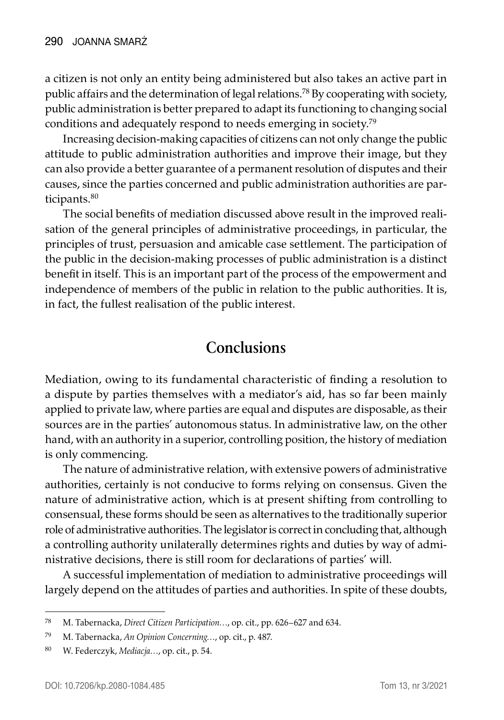a citizen is not only an entity being administered but also takes an active part in public affairs and the determination of legal relations.78 By cooperating with society, public administration is better prepared to adapt its functioning to changing social conditions and adequately respond to needs emerging in society.79

Increasing decision-making capacities of citizens can not only change the public attitude to public administration authorities and improve their image, but they can also provide a better guarantee of a permanent resolution of disputes and their causes, since the parties concerned and public administration authorities are participants.<sup>80</sup>

The social benefits of mediation discussed above result in the improved realisation of the general principles of administrative proceedings, in particular, the principles of trust, persuasion and amicable case settlement. The participation of the public in the decision-making processes of public administration is a distinct benefit in itself. This is an important part of the process of the empowerment and independence of members of the public in relation to the public authorities. It is, in fact, the fullest realisation of the public interest.

#### **Conclusions**

Mediation, owing to its fundamental characteristic of finding a resolution to a dispute by parties themselves with a mediator's aid, has so far been mainly applied to private law, where parties are equal and disputes are disposable, as their sources are in the parties' autonomous status. In administrative law, on the other hand, with an authority in a superior, controlling position, the history of mediation is only commencing.

The nature of administrative relation, with extensive powers of administrative authorities, certainly is not conducive to forms relying on consensus. Given the nature of administrative action, which is at present shifting from controlling to consensual, these forms should be seen as alternatives to the traditionally superior role of administrative authorities. The legislator is correct in concluding that, although a controlling authority unilaterally determines rights and duties by way of administrative decisions, there is still room for declarations of parties' will.

A successful implementation of mediation to administrative proceedings will largely depend on the attitudes of parties and authorities. In spite of these doubts,

<sup>78</sup> M. Tabernacka, *Direct Citizen Participation…*, op. cit., pp. 626–627 and 634.

<sup>79</sup> M. Tabernacka, *An Opinion Concerning…*, op. cit., p. 487.

<sup>80</sup> W. Federczyk, *Mediacja…*, op. cit., p. 54.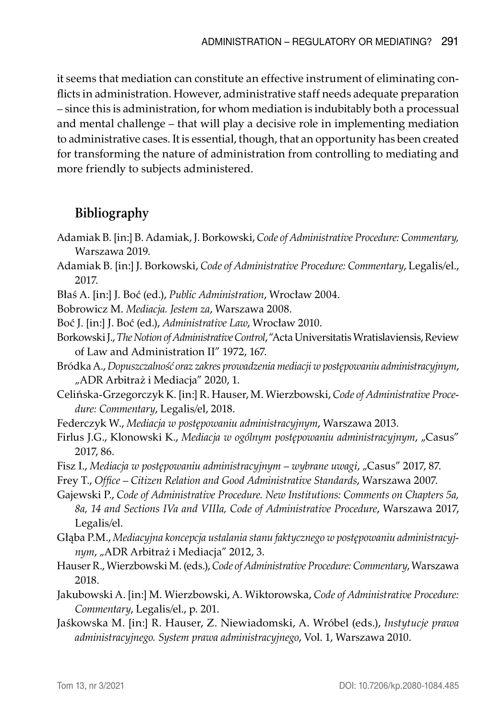it seems that mediation can constitute an effective instrument of eliminating conflicts in administration. However, administrative staff needs adequate preparation – since this is administration, for whom mediation is indubitably both a processual and mental challenge – that will play a decisive role in implementing mediation to administrative cases. It is essential, though, that an opportunity has been created for transforming the nature of administration from controlling to mediating and more friendly to subjects administered.

#### **Bibliography**

- Adamiak B. [in:] B. Adamiak, J. Borkowski, *Code of Administrative Procedure: Commentary,*  Warszawa 2019.
- Adamiak B. [in:] J. Borkowski, *Code of Administrative Procedure: Commentary*, Legalis/el., 2017.
- Błaś A. [in:] J. Boć (ed.), *Public Administration*, Wrocław 2004.
- Bobrowicz M. *Mediacja. Jestem za*, Warszawa 2008.
- Boć J. [in:] J. Boć (ed.), *Administrative Law*, Wrocław 2010.
- Borkowski J., *The Notion of Administrative Control*, "Acta Universitatis Wratislaviensis, Review of Law and Administration II" 1972, 167.
- Bródka A., *Dopuszczalność oraz zakres prowadzenia mediacji w postępowaniu administracyjnym*, "ADR Arbitraż i Mediacja" 2020, 1.
- Celińska-Grzegorczyk K. [in:] R. Hauser, M. Wierzbowski, *Code of Administrative Procedure: Commentary*, Legalis/el, 2018.
- Federczyk W., *Mediacja w postępowaniu administracyjnym*, Warszawa 2013.
- Firlus J.G., Klonowski K., *Mediacja w ogólnym postępowaniu administracyjnym*, "Casus" 2017, 86.
- Fisz I., *Mediacja w postępowaniu administracyjnym wybrane uwagi*, "Casus" 2017, 87.
- Frey T., *Office Citizen Relation and Good Administrative Standards*, Warszawa 2007.
- Gajewski P., *Code of Administrative Procedure. New Institutions: Comments on Chapters 5a, 8a, 14 and Sections IVa and VIIIa, Code of Administrative Procedure*, Warszawa 2017, Legalis/el.
- Głąba P.M., *Mediacyjna koncepcja ustalania stanu faktycznego w postępowaniu administracyjnym*, "ADR Arbitraż i Mediacja" 2012, 3.
- Hauser R., Wierzbowski M. (eds.), *Code of Administrative Procedure: Commentary*, Warszawa 2018.
- Jakubowski A. [in:] M. Wierzbowski, A. Wiktorowska, *Code of Administrative Procedure: Commentary*, Legalis/el., p. 201.
- Jaśkowska M. [in:] R. Hauser, Z. Niewiadomski, A. Wróbel (eds.), *Instytucje prawa administracyjnego. System prawa administracyjnego*, Vol. 1, Warszawa 2010.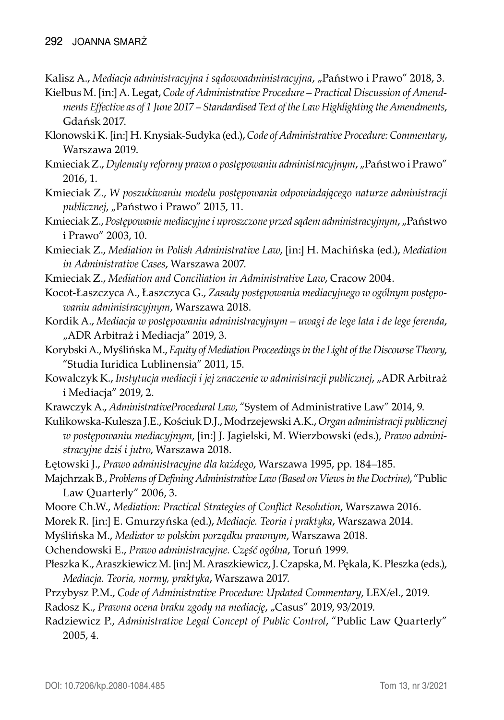- Kalisz A., *Mediacja administracyjna i sądowoadministracyjna*, "Państwo i Prawo" 2018, 3.
- Kiełbus M. [in:] A. Legat, *Code of Administrative Procedure Practical Discussion of Amendments Effective as of 1 June 2017 – Standardised Text of the Law Highlighting the Amendments*, Gdańsk 2017.
- Klonowski K. [in:] H. Knysiak-Sudyka (ed.), *Code of Administrative Procedure: Commentary*, Warszawa 2019.
- Kmieciak Z., Dylematy reformy prawa o postępowaniu administracyjnym, "Państwo i Prawo" 2016, 1.
- Kmieciak Z., *W poszukiwaniu modelu postępowania odpowiadającego naturze administracji publicznej*, "Państwo i Prawo" 2015, 11.
- Kmieciak Z., *Postępowanie mediacyjne i uproszczone przed sądem administracyjnym*, "Państwo i Prawo" 2003, 10.
- Kmieciak Z., *Mediation in Polish Administrative Law*, [in:] H. Machińska (ed.), *Mediation in Administrative Cases*, Warszawa 2007.
- Kmieciak Z., *Mediation and Conciliation in Administrative Law*, Cracow 2004.
- Kocot-Łaszczyca A., Łaszczyca G., *Zasady postępowania mediacyjnego w ogólnym postępowaniu administracyjnym*, Warszawa 2018.
- Kordik A., *Mediacja w postępowaniu administracyjnym uwagi de lege lata i de lege ferenda*, "ADR Arbitraż i Mediacja" 2019, 3.
- Korybski A., Myślińska M., *Equity of Mediation Proceedings in the Light of the Discourse Theory*, "Studia Iuridica Lublinensia" 2011, 15.
- Kowalczyk K., *Instytucja mediacji i jej znaczenie w administracji publicznej*, "ADR Arbitraż i Mediacja" 2019, 2.
- Krawczyk A., *AdministrativeProcedural Law*, "System of Administrative Law" 2014, 9.
- Kulikowska-Kulesza J.E., Kościuk D.J., Modrzejewski A.K., *Organ administracji publicznej w postępowaniu mediacyjnym*, [in:] J. Jagielski, M. Wierzbowski (eds.), *Prawo administracyjne dziś i jutro*, Warszawa 2018.
- Łętowski J., *Prawo administracyjne dla każdego*, Warszawa 1995, pp. 184–185.
- Majchrzak B., *Problems of Defining Administrative Law (Based on Views in the Doctrine)*, "Public Law Quarterly" 2006, 3.
- Moore Ch.W., *Mediation: Practical Strategies of Conflict Resolution*, Warszawa 2016.
- Morek R. [in:] E. Gmurzyńska (ed.), *Mediacje. Teoria i praktyka*, Warszawa 2014.
- Myślińska M., *Mediator w polskim porządku prawnym*, Warszawa 2018.
- Ochendowski E., *Prawo administracyjne. Część ogólna*, Toruń 1999.
- Płeszka K., Araszkiewicz M. [in:] M. Araszkiewicz, J. Czapska, M. Pękala, K. Płeszka (eds.), *Mediacja. Teoria, normy, praktyka*, Warszawa 2017.
- Przybysz P.M., *Code of Administrative Procedure: Updated Commentary*, LEX/el., 2019.
- Radosz K., *Prawna ocena braku zgody na mediację*, "Casus" 2019, 93/2019.
- Radziewicz P., *Administrative Legal Concept of Public Control*, "Public Law Quarterly" 2005, 4.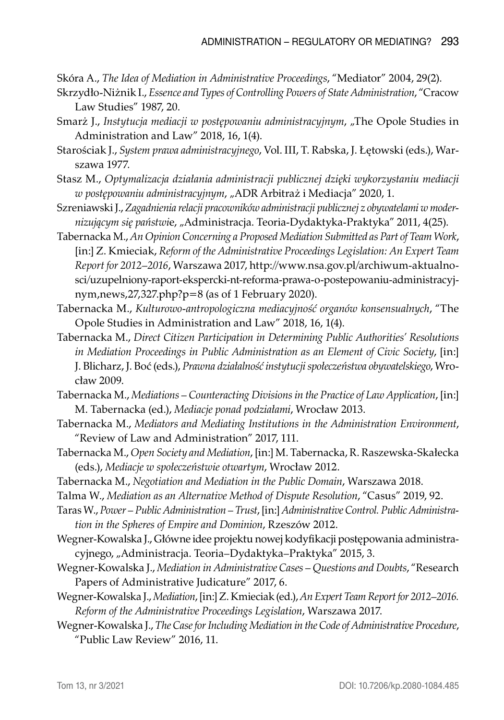Skóra A., *The Idea of Mediation in Administrative Proceedings*, "Mediator" 2004, 29(2).

- Skrzydło-Niżnik I., *Essence and Types of Controlling Powers of State Administration*, "Cracow Law Studies" 1987, 20.
- Smarż J., *Instytucja mediacji w postępowaniu administracyjnym*, "The Opole Studies in Administration and Law" 2018, 16, 1(4).
- Starościak J., *System prawa administracyjnego*, Vol. III, T. Rabska, J. Łętowski (eds.), Warszawa 1977.
- Stasz M., *Optymalizacja działania administracji publicznej dzięki wykorzystaniu mediacji w postępowaniu administracyjnym*, "ADR Arbitraż i Mediacja" 2020, 1.
- Szreniawski J., *Zagadnienia relacji pracowników administracji publicznej z obywatelami w modernizującym się państwi*e, "Administracja. Teoria-Dydaktyka-Praktyka" 2011, 4(25).
- Tabernacka M., *An Opinion Concerning a Proposed Mediation Submitted as Part of Team Work*, [in:] Z. Kmieciak, *Reform of the Administrative Proceedings Legislation: An Expert Team Report for 2012–2016*, Warszawa 2017, http://www.nsa.gov.pl/archiwum-aktualnosci/uzupelniony-raport-ekspercki-nt-reforma-prawa-o-postepowaniu-administracyjnym,news,27,327.php?p=8 (as of 1 February 2020).
- Tabernacka M., *Kulturowo-antropologiczna mediacyjność organów konsensualnych*, "The Opole Studies in Administration and Law" 2018, 16, 1(4).
- Tabernacka M., *Direct Citizen Participation in Determining Public Authorities' Resolutions in Mediation Proceedings in Public Administration as an Element of Civic Society*, [in:] J. Blicharz, J. Boć (eds.), *Prawna działalność instytucji społeczeństwa obywatelskiego*, Wrocław 2009.
- Tabernacka M., *Mediations Counteracting Divisions in the Practice of Law Application*, [in:] M. Tabernacka (ed.), *Mediacje ponad podziałami*, Wrocław 2013.
- Tabernacka M., *Mediators and Mediating Institutions in the Administration Environment*, "Review of Law and Administration" 2017, 111.
- Tabernacka M., *Open Society and Mediation*, [in:] M. Tabernacka, R. Raszewska-Skałecka (eds.), *Mediacje w społeczeństwie otwartym*, Wrocław 2012.
- Tabernacka M., *Negotiation and Mediation in the Public Domain*, Warszawa 2018.
- Talma W., *Mediation as an Alternative Method of Dispute Resolution*, "Casus" 2019, 92.
- Taras W., *Power Public Administration Trust*, [in:] *Administrative Control. Public Administration in the Spheres of Empire and Dominion*, Rzeszów 2012.
- Wegner-Kowalska J., Główne idee projektu nowej kodyfikacji postępowania administracyjnego, "Administracja. Teoria–Dydaktyka–Praktyka" 2015, 3.
- Wegner-Kowalska J., *Mediation in Administrative Cases Questions and Doubts*, "Research Papers of Administrative Judicature" 2017, 6.
- Wegner-Kowalska J., *Mediation*, [in:] Z. Kmieciak (ed.), *An Expert Team Report for 2012–2016. Reform of the Administrative Proceedings Legislation*, Warszawa 2017.
- Wegner-Kowalska J., *The Case for Including Mediation in the Code of Administrative Procedure*, "Public Law Review" 2016, 11.